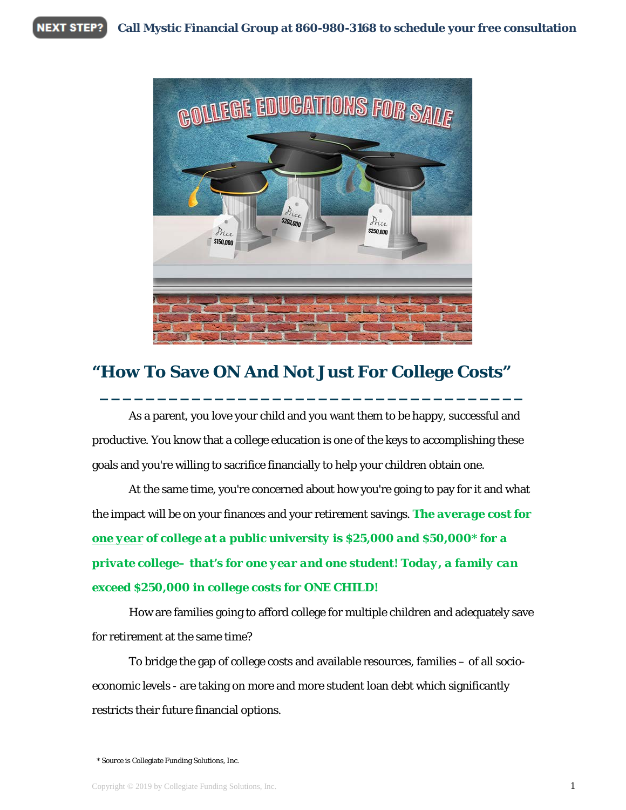**NEXT STEP? Call Mystic Financial Group at 860-980-3168 to schedule your free consultation**



## **"How To Save ON And Not Just For College Costs"**

As a parent, you love your child and you want them to be happy, successful and productive. You know that a college education is one of the keys to accomplishing these goals and you're willing to sacrifice financially to help your children obtain one.

**\_\_\_\_\_\_\_\_\_\_\_\_\_\_\_\_\_\_\_\_\_\_\_\_\_\_\_\_\_\_\_\_\_\_\_\_\_**

At the same time, you're concerned about how you're going to pay for it and what the impact will be on your finances and your retirement savings. *The average cost for one year of college at a public university is \$25,000 and \$50,000\* for a private college– that's for one year and one student! Today, a family can exceed \$250,000 in college costs for ONE CHILD!*

How are families going to afford college for multiple children and adequately save for retirement at the same time?

To bridge the gap of college costs and available resources, families – of all socioeconomic levels - are taking on more and more student loan debt which significantly restricts their future financial options.

\* Source is Collegiate Funding Solutions, Inc.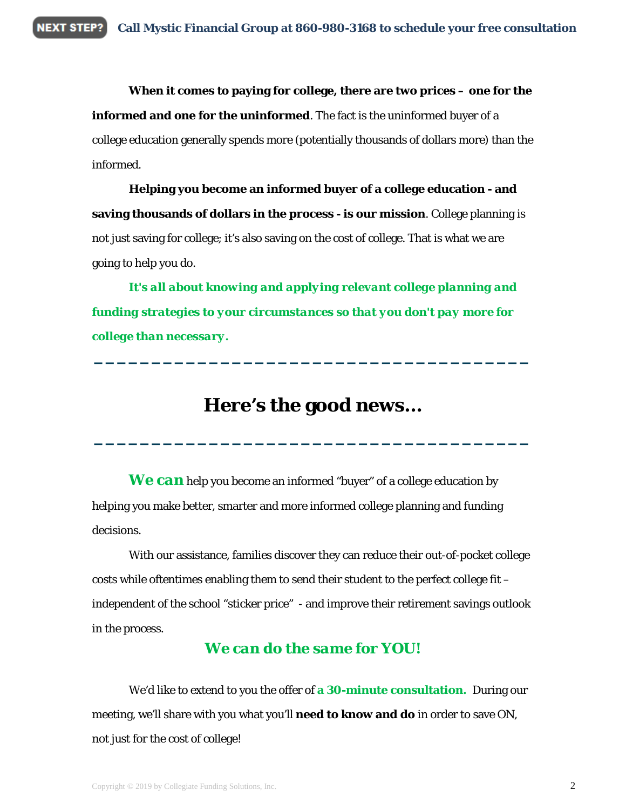**When it comes to paying for college, there are two prices – one for the informed and one for the uninformed**. The fact is the uninformed buyer of a college education generally spends more (potentially thousands of dollars more) than the informed.

**Helping you become an informed buyer of a college education - and saving thousands of dollars in the process - is our mission**. College planning is not just saving for college; it's also saving on the cost of college. That is what we are going to help you do.

*It's all about knowing and applying relevant college planning and funding strategies to your circumstances so that you don't pay more for college than necessary.*

# **Here's the good news…**

**\_\_\_\_\_\_\_\_\_\_\_\_\_\_\_\_\_\_\_\_\_\_\_\_\_\_\_\_\_\_\_\_\_\_\_\_\_\_**

**\_\_\_\_\_\_\_\_\_\_\_\_\_\_\_\_\_\_\_\_\_\_\_\_\_\_\_\_\_\_\_\_\_\_\_\_\_\_**

*We can* help you become an informed "buyer" of a college education by helping you make better, smarter and more informed college planning and funding decisions.

With our assistance, families discover they can reduce their out-of-pocket college costs while oftentimes enabling them to send their student to the perfect college fit – independent of the school "sticker price" - and improve their retirement savings outlook in the process.

### *We can do the same for YOU!*

We'd like to extend to you the offer of **a 30-minute consultation.** During our meeting, we'll share with you what you'll **need to know and do** in order to save ON, not just for the cost of college!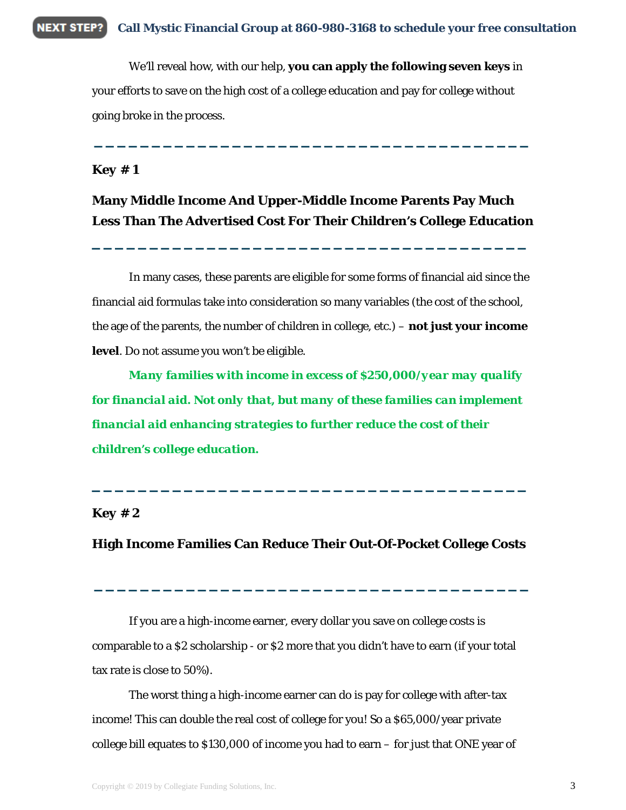**NEXT STEP? Call Mystic Financial Group at 860-980-3168 to schedule your free consultation**

> We'll reveal how, with our help, **you can apply the following seven keys** in your efforts to save on the high cost of a college education and pay for college without going broke in the process.

### *Key # 1*

### **Many Middle Income And Upper-Middle Income Parents Pay Much Less Than The Advertised Cost For Their Children's College Education**

**\_\_\_\_\_\_\_\_\_\_\_\_\_\_\_\_\_\_\_\_\_\_\_\_\_\_\_\_\_\_\_\_\_\_\_\_\_\_**

**\_\_\_\_\_\_\_\_\_\_\_\_\_\_\_\_\_\_\_\_\_\_\_\_\_\_\_\_\_\_\_\_\_\_\_\_\_\_**

In many cases, these parents are eligible for some forms of financial aid since the financial aid formulas take into consideration so many variables (the cost of the school, the age of the parents, the number of children in college, etc.) – **not just your income level**. Do not assume you won't be eligible.

*Many families with income in excess of \$250,000/year may qualify for financial aid. Not only that, but many of these families can implement financial aid enhancing strategies to further reduce the cost of their children's college education.* 

### *Key # 2*

#### **High Income Families Can Reduce Their Out-Of-Pocket College Costs**

**\_\_\_\_\_\_\_\_\_\_\_\_\_\_\_\_\_\_\_\_\_\_\_\_\_\_\_\_\_\_\_\_\_\_\_\_\_\_**

**\_\_\_\_\_\_\_\_\_\_\_\_\_\_\_\_\_\_\_\_\_\_\_\_\_\_\_\_\_\_\_\_\_\_\_\_\_\_**

If you are a high-income earner, every dollar you save on college costs is comparable to a \$2 scholarship - or \$2 more that you didn't have to earn (if your total tax rate is close to 50%).

The worst thing a high-income earner can do is pay for college with after-tax income! This can double the real cost of college for you! So a \$65,000/year private college bill equates to \$130,000 of income you had to earn – for just that ONE year of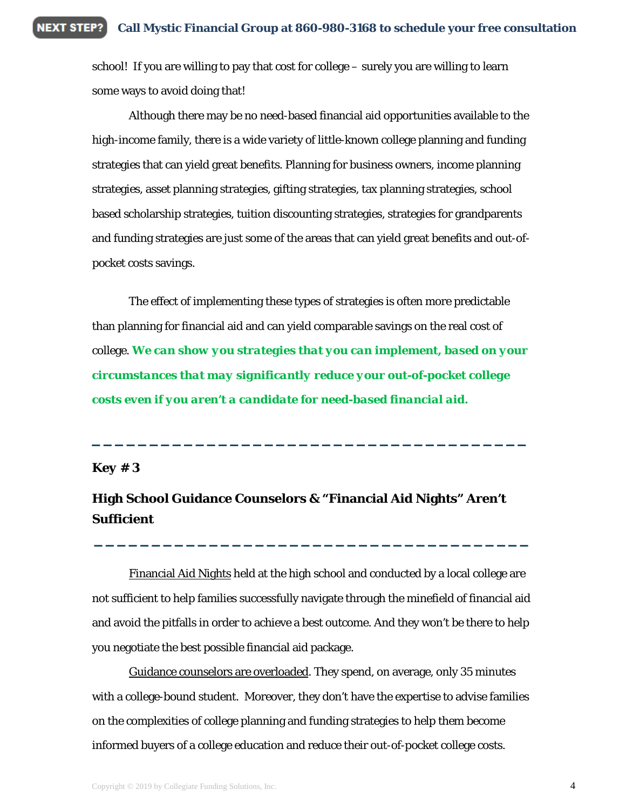school! If you are willing to pay that cost for college – surely you are willing to learn some ways to avoid doing that!

Although there may be no need-based financial aid opportunities available to the high-income family, there is a wide variety of little-known college planning and funding strategies that can yield great benefits. Planning for business owners, income planning strategies, asset planning strategies, gifting strategies, tax planning strategies, school based scholarship strategies, tuition discounting strategies, strategies for grandparents and funding strategies are just some of the areas that can yield great benefits and out-ofpocket costs savings.

The effect of implementing these types of strategies is often more predictable than planning for financial aid and can yield comparable savings on the real cost of college. *We can show you strategies that you can implement, based on your circumstances that may significantly reduce your out-of-pocket college costs even if you aren't a candidate for need-based financial aid.* 

**\_\_\_\_\_\_\_\_\_\_\_\_\_\_\_\_\_\_\_\_\_\_\_\_\_\_\_\_\_\_\_\_\_\_\_\_\_\_**

#### *Key # 3*

## **High School Guidance Counselors & "Financial Aid Nights" Aren't Sufficient**

Financial Aid Nights held at the high school and conducted by a local college are not sufficient to help families successfully navigate through the minefield of financial aid and avoid the pitfalls in order to achieve a best outcome. And they won't be there to help you negotiate the best possible financial aid package.

**\_\_\_\_\_\_\_\_\_\_\_\_\_\_\_\_\_\_\_\_\_\_\_\_\_\_\_\_\_\_\_\_\_\_\_\_\_\_**

Guidance counselors are overloaded. They spend, on average, only 35 minutes with a college-bound student. Moreover, they don't have the expertise to advise families on the complexities of college planning and funding strategies to help them become informed buyers of a college education and reduce their out-of-pocket college costs.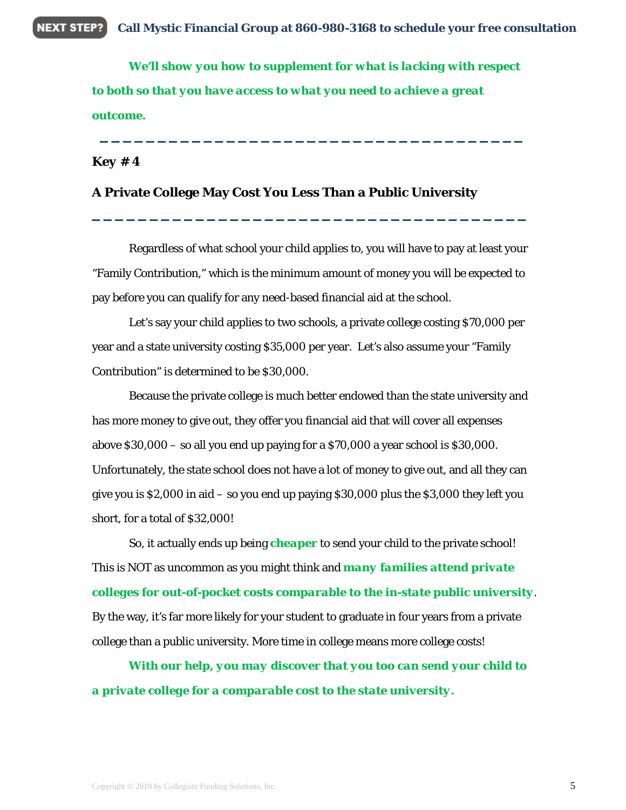**NEXT STEP? Call Mystic Financial Group at 860-980-3168 to schedule your free consultation**

> *We'll show you how to supplement for what is lacking with respect to both so that you have access to what you need to achieve a great outcome.*

**\_\_\_\_\_\_\_\_\_\_\_\_\_\_\_\_\_\_\_\_\_\_\_\_\_\_\_\_\_\_\_\_\_\_\_\_\_**

*Key # 4*

### **A Private College May Cost You Less Than a Public University**

Regardless of what school your child applies to, you will have to pay at least your "Family Contribution," which is the minimum amount of money you will be expected to pay before you can qualify for any need-based financial aid at the school.

**\_\_\_\_\_\_\_\_\_\_\_\_\_\_\_\_\_\_\_\_\_\_\_\_\_\_\_\_\_\_\_\_\_\_\_\_\_\_**

Let's say your child applies to two schools, a private college costing \$70,000 per year and a state university costing \$35,000 per year. Let's also assume your "Family Contribution" is determined to be \$30,000.

Because the private college is much better endowed than the state university and has more money to give out, they offer you financial aid that will cover all expenses above \$30,000 – so all you end up paying for a \$70,000 a year school is \$30,000. Unfortunately, the state school does not have a lot of money to give out, and all they can give you is \$2,000 in aid – so you end up paying \$30,000 plus the \$3,000 they left you short, for a total of \$32,000!

So, it actually ends up being *cheaper* to send your child to the private school! This is NOT as uncommon as you might think and *many families attend private colleges for out-of-pocket costs comparable to the in-state public university*. By the way, it's far more likely for your student to graduate in four years from a private college than a public university. More time in college means more college costs!

*With our help, you may discover that you too can send your child to a private college for a comparable cost to the state university.*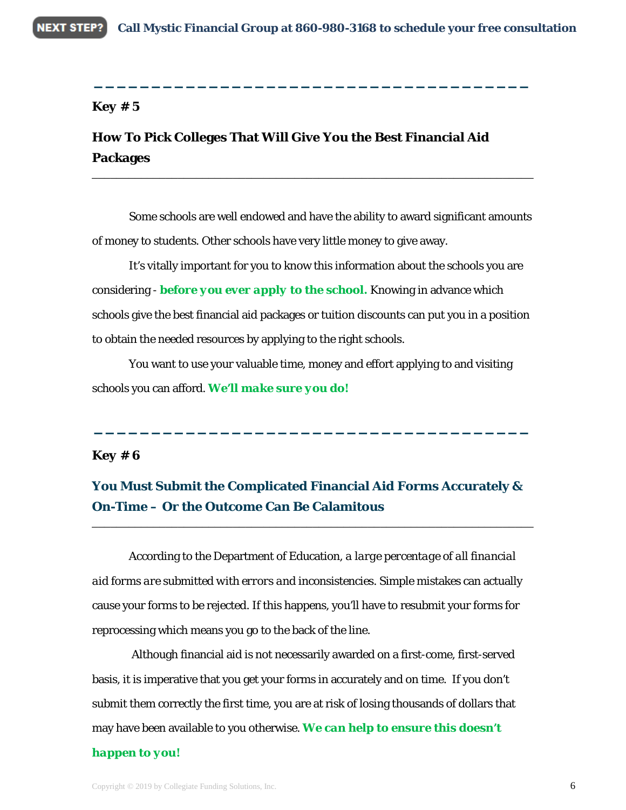**\_\_\_\_\_\_\_\_\_\_\_\_\_\_\_\_\_\_\_\_\_\_\_\_\_\_\_\_\_\_\_\_\_\_\_\_\_\_**

#### *Key # 5*

## **How To Pick Colleges That Will Give You the Best Financial Aid Packages**

Some schools are well endowed and have the ability to award significant amounts of money to students. Other schools have very little money to give away.

\_\_\_\_\_\_\_\_\_\_\_\_\_\_\_\_\_\_\_\_\_\_\_\_\_\_\_\_\_\_\_\_\_\_\_\_\_\_\_\_\_\_\_\_\_\_\_\_\_\_\_\_\_\_\_\_\_\_\_\_\_\_\_\_\_\_\_\_\_\_\_\_

It's vitally important for you to know this information about the schools you are considering - *before you ever apply to the school.* Knowing in advance which schools give the best financial aid packages or tuition discounts can put you in a position to obtain the needed resources by applying to the right schools.

You want to use your valuable time, money and effort applying to and visiting schools you can afford. *We'll make sure you do!*

**\_\_\_\_\_\_\_\_\_\_\_\_\_\_\_\_\_\_\_\_\_\_\_\_\_\_\_\_\_\_\_\_\_\_\_\_\_\_**

#### *Key # 6*

### **You Must Submit the Complicated Financial Aid Forms Accurately & On-Time – Or the Outcome Can Be Calamitous**

\_\_\_\_\_\_\_\_\_\_\_\_\_\_\_\_\_\_\_\_\_\_\_\_\_\_\_\_\_\_\_\_\_\_\_\_\_\_\_\_\_\_\_\_\_\_\_\_\_\_\_\_\_\_\_\_\_\_\_\_\_\_\_\_\_\_\_\_\_\_\_\_

According to the Department of Education, *a large percentage of all financial aid forms are submitted with errors and inconsistencies.* Simple mistakes can actually cause your forms to be rejected. If this happens, you'll have to resubmit your forms for reprocessing which means you go to the back of the line.

Although financial aid is not necessarily awarded on a first-come, first-served basis, it is imperative that you get your forms in accurately and on time. If you don't submit them correctly the first time, you are at risk of losing thousands of dollars that may have been available to you otherwise. *We can help to ensure this doesn't* 

#### *happen to you!*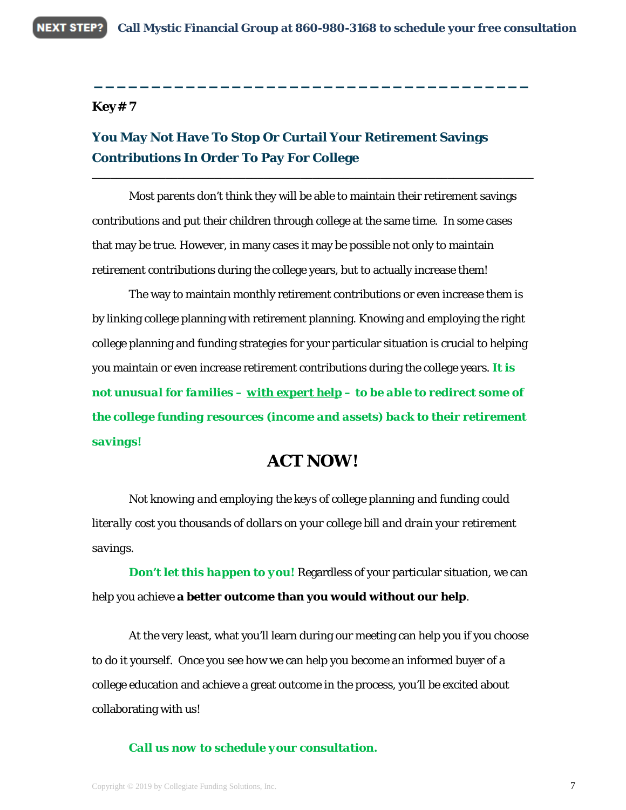**\_\_\_\_\_\_\_\_\_\_\_\_\_\_\_\_\_\_\_\_\_\_\_\_\_\_\_\_\_\_\_\_\_\_\_\_\_\_**

\_\_\_\_\_\_\_\_\_\_\_\_\_\_\_\_\_\_\_\_\_\_\_\_\_\_\_\_\_\_\_\_\_\_\_\_\_\_\_\_\_\_\_\_\_\_\_\_\_\_\_\_\_\_\_\_\_\_\_\_\_\_\_\_\_\_\_\_\_\_\_\_

### *Key# 7*

## **You May Not Have To Stop Or Curtail Your Retirement Savings Contributions In Order To Pay For College**

Most parents don't think they will be able to maintain their retirement savings contributions and put their children through college at the same time. In some cases that may be true. However, in many cases it may be possible not only to maintain retirement contributions during the college years, but to actually increase them!

The way to maintain monthly retirement contributions or even increase them is by linking college planning with retirement planning. Knowing and employing the right college planning and funding strategies for your particular situation is crucial to helping you maintain or even increase retirement contributions during the college years. *It is not unusual for families – with expert help – to be able to redirect some of the college funding resources (income and assets) back to their retirement savings!*

## **ACT NOW!**

*Not knowing and employing the keys of college planning and funding could literally cost you thousands of dollars on your college bill and drain your retirement savings.*

*Don't let this happen to you!* Regardless of your particular situation, we can help you achieve **a better outcome than you would without our help**.

At the very least, what you'll learn during our meeting can help you if you choose to do it yourself. Once you see how we can help you become an informed buyer of a college education and achieve a great outcome in the process, you'll be excited about collaborating with us!

#### *Call us now to schedule your consultation.*